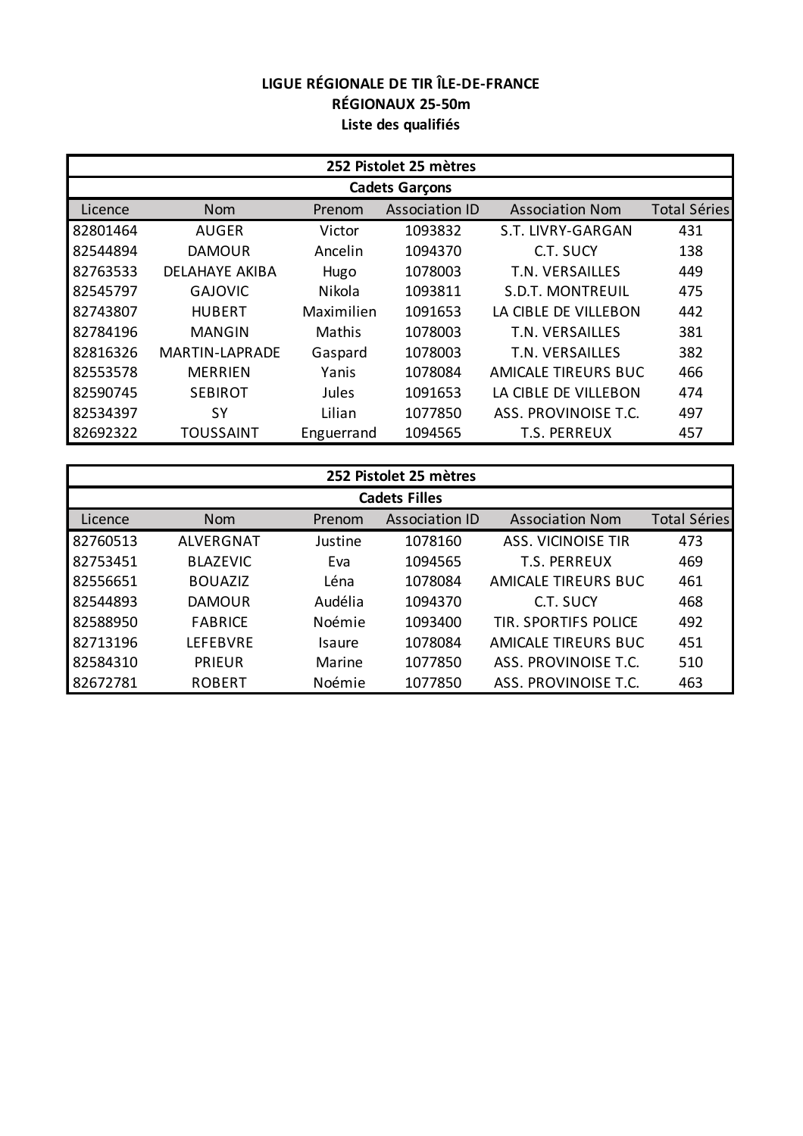## **LIGUE RÉGIONALE DE TIR ÎLE-DE-FRANCE RÉGIONAUX 25-50m Liste des qualifiés**

| 252 Pistolet 25 mètres |                       |            |                       |                         |                     |  |
|------------------------|-----------------------|------------|-----------------------|-------------------------|---------------------|--|
| <b>Cadets Garçons</b>  |                       |            |                       |                         |                     |  |
| Licence                | <b>Nom</b>            | Prenom     | <b>Association ID</b> | <b>Association Nom</b>  | <b>Total Séries</b> |  |
| 82801464               | <b>AUGER</b>          | Victor     | 1093832               | S.T. LIVRY-GARGAN       | 431                 |  |
| 82544894               | <b>DAMOUR</b>         | Ancelin    | 1094370               | C.T. SUCY               | 138                 |  |
| 82763533               | <b>DELAHAYE AKIBA</b> | Hugo       | 1078003               | T.N. VERSAILLES         | 449                 |  |
| 82545797               | <b>GAJOVIC</b>        | Nikola     | 1093811               | <b>S.D.T. MONTREUIL</b> | 475                 |  |
| 82743807               | <b>HUBERT</b>         | Maximilien | 1091653               | LA CIBLE DE VILLEBON    | 442                 |  |
| 82784196               | <b>MANGIN</b>         | Mathis     | 1078003               | T.N. VERSAILLES         | 381                 |  |
| 82816326               | <b>MARTIN-LAPRADE</b> | Gaspard    | 1078003               | <b>T.N. VERSAILLES</b>  | 382                 |  |
| 82553578               | <b>MERRIEN</b>        | Yanis      | 1078084               | AMICALE TIREURS BUC     | 466                 |  |
| 82590745               | <b>SEBIROT</b>        | Jules      | 1091653               | LA CIBLE DE VILLEBON    | 474                 |  |
| 82534397               | SΥ                    | Lilian     | 1077850               | ASS. PROVINOISE T.C.    | 497                 |  |
| 82692322               | <b>TOUSSAINT</b>      | Enguerrand | 1094565               | <b>T.S. PERREUX</b>     | 457                 |  |

| 252 Pistolet 25 mètres |                 |         |                       |                             |                     |  |
|------------------------|-----------------|---------|-----------------------|-----------------------------|---------------------|--|
| <b>Cadets Filles</b>   |                 |         |                       |                             |                     |  |
| Licence                | <b>Nom</b>      | Prenom  | <b>Association ID</b> | <b>Association Nom</b>      | <b>Total Séries</b> |  |
| 82760513               | ALVERGNAT       | Justine | 1078160               | <b>ASS. VICINOISE TIR</b>   | 473                 |  |
| 82753451               | <b>BLAZEVIC</b> | Eva     | 1094565               | T.S. PERREUX                | 469                 |  |
| 82556651               | <b>BOUAZIZ</b>  | Léna    | 1078084               | AMICALE TIREURS BUC         | 461                 |  |
| 82544893               | <b>DAMOUR</b>   | Audélia | 1094370               | C.T. SUCY                   | 468                 |  |
| 82588950               | <b>FABRICE</b>  | Noémie  | 1093400               | <b>TIR. SPORTIFS POLICE</b> | 492                 |  |
| 82713196               | <b>LEFEBVRE</b> | Isaure  | 1078084               | AMICALE TIREURS BUC         | 451                 |  |
| 82584310               | <b>PRIEUR</b>   | Marine  | 1077850               | ASS. PROVINOISE T.C.        | 510                 |  |
| 82672781               | <b>ROBERT</b>   | Noémie  | 1077850               | ASS. PROVINOISE T.C.        | 463                 |  |